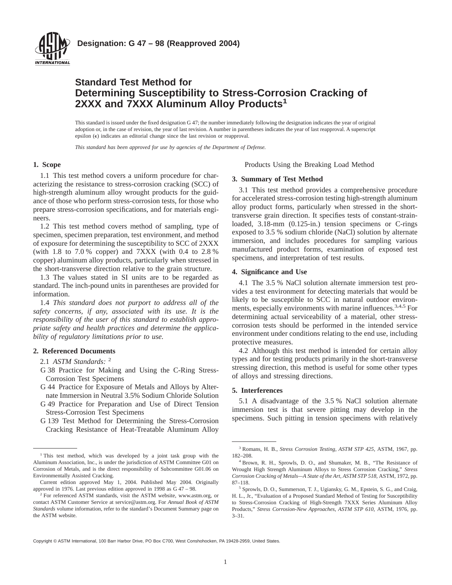

# **Standard Test Method for Determining Susceptibility to Stress-Corrosion Cracking of 2XXX and 7XXX Aluminum Alloy Products<sup>1</sup>**

This standard is issued under the fixed designation G 47; the number immediately following the designation indicates the year of original adoption or, in the case of revision, the year of last revision. A number in parentheses indicates the year of last reapproval. A superscript epsilon  $(\epsilon)$  indicates an editorial change since the last revision or reapproval.

*This standard has been approved for use by agencies of the Department of Defense.*

#### **1. Scope**

1.1 This test method covers a uniform procedure for characterizing the resistance to stress-corrosion cracking (SCC) of high-strength aluminum alloy wrought products for the guidance of those who perform stress-corrosion tests, for those who prepare stress-corrosion specifications, and for materials engineers.

1.2 This test method covers method of sampling, type of specimen, specimen preparation, test environment, and method of exposure for determining the susceptibility to SCC of 2XXX (with 1.8 to 7.0 % copper) and 7XXX (with 0.4 to 2.8 % copper) aluminum alloy products, particularly when stressed in the short-transverse direction relative to the grain structure.

1.3 The values stated in SI units are to be regarded as standard. The inch-pound units in parentheses are provided for information.

1.4 *This standard does not purport to address all of the safety concerns, if any, associated with its use. It is the responsibility of the user of this standard to establish appropriate safety and health practices and determine the applicability of regulatory limitations prior to use.*

#### **2. Referenced Documents**

2.1 *ASTM Standards:* <sup>2</sup>

- G 38 Practice for Making and Using the C-Ring Stress-Corrosion Test Specimens
- G 44 Practice for Exposure of Metals and Alloys by Alternate Immersion in Neutral 3.5% Sodium Chloride Solution
- G 49 Practice for Preparation and Use of Direct Tension Stress-Corrosion Test Specimens
- G 139 Test Method for Determining the Stress-Corrosion Cracking Resistance of Heat-Treatable Aluminum Alloy

Products Using the Breaking Load Method

#### **3. Summary of Test Method**

3.1 This test method provides a comprehensive procedure for accelerated stress-corrosion testing high-strength aluminum alloy product forms, particularly when stressed in the shorttransverse grain direction. It specifies tests of constant-strainloaded, 3.18-mm (0.125-in.) tension specimens or C-rings exposed to 3.5 % sodium chloride (NaCl) solution by alternate immersion, and includes procedures for sampling various manufactured product forms, examination of exposed test specimens, and interpretation of test results.

#### **4. Significance and Use**

4.1 The 3.5 % NaCl solution alternate immersion test provides a test environment for detecting materials that would be likely to be susceptible to SCC in natural outdoor environments, especially environments with marine influences.<sup>3,4,5</sup> For determining actual serviceability of a material, other stresscorrosion tests should be performed in the intended service environment under conditions relating to the end use, including protective measures.

4.2 Although this test method is intended for certain alloy types and for testing products primarily in the short-transverse stressing direction, this method is useful for some other types of alloys and stressing directions.

## **5. Interferences**

5.1 A disadvantage of the 3.5 % NaCl solution alternate immersion test is that severe pitting may develop in the specimens. Such pitting in tension specimens with relatively

Copyright © ASTM International, 100 Barr Harbor Drive, PO Box C700, West Conshohocken, PA 19428-2959, United States.

<sup>&</sup>lt;sup>1</sup> This test method, which was developed by a joint task group with the Aluminum Association, Inc., is under the jurisdiction of ASTM Committee G01 on Corrosion of Metals, and is the direct responsibility of Subcommittee G01.06 on Environmentally Assisted Cracking.

Current edition approved May 1, 2004. Published May 2004. Originally approved in 1976. Last previous edition approved in 1998 as G 47 – 98.

<sup>&</sup>lt;sup>2</sup> For referenced ASTM standards, visit the ASTM website, www.astm.org, or contact ASTM Customer Service at service@astm.org. For *Annual Book of ASTM Standards* volume information, refer to the standard's Document Summary page on the ASTM website.

<sup>3</sup> Romans, H. B., *Stress Corrosion Testing, ASTM STP 425,* ASTM, 1967, pp. 182–208.

<sup>4</sup> Brown, R. H., Sprowls, D. O., and Shumaker, M. B., "The Resistance of Wrought High Strength Aluminum Alloys to Stress Corrosion Cracking," *Stress Corrosion Cracking of Metals—A State of the Art, ASTM STP 518,* ASTM, 1972, pp. 87–118.

<sup>5</sup> Sprowls, D. O., Summerson, T. J., Ugiansky, G. M., Epstein, S. G., and Craig, H. L., Jr., "Evaluation of a Proposed Standard Method of Testing for Susceptibility to Stress-Corrosion Cracking of High-Strength 7XXX Series Aluminum Alloy Products," *Stress Corrosion-New Approaches, ASTM STP 610,* ASTM, 1976, pp. 3–31.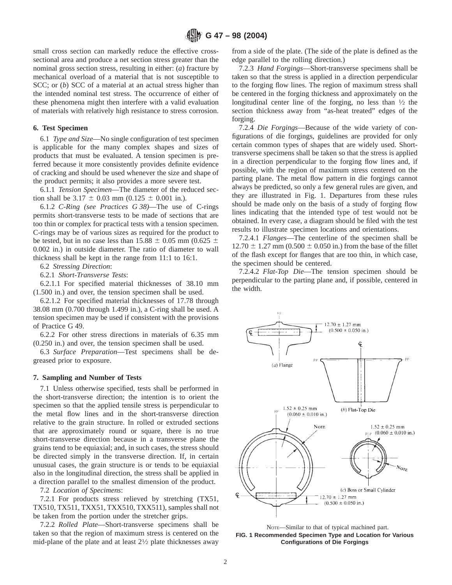small cross section can markedly reduce the effective crosssectional area and produce a net section stress greater than the nominal gross section stress, resulting in either: (*a*) fracture by mechanical overload of a material that is not susceptible to SCC; or (*b*) SCC of a material at an actual stress higher than the intended nominal test stress. The occurrence of either of these phenomena might then interfere with a valid evaluation of materials with relatively high resistance to stress corrosion.

#### **6. Test Specimen**

6.1 *Type and Size*—No single configuration of test specimen is applicable for the many complex shapes and sizes of products that must be evaluated. A tension specimen is preferred because it more consistently provides definite evidence of cracking and should be used whenever the size and shape of the product permits; it also provides a more severe test.

6.1.1 *Tension Specimen*—The diameter of the reduced section shall be  $3.17 \pm 0.03$  mm (0.125  $\pm$  0.001 in.).

6.1.2 *C-Ring (see Practices G 38)*—The use of C-rings permits short-transverse tests to be made of sections that are too thin or complex for practical tests with a tension specimen. C-rings may be of various sizes as required for the product to be tested, but in no case less than  $15.88 \pm 0.05$  mm (0.625  $\pm$ 0.002 in.) in outside diameter. The ratio of diameter to wall thickness shall be kept in the range from 11:1 to 16:1.

6.2 *Stressing Direction*:

6.2.1 *Short-Transverse Tests*:

6.2.1.1 For specified material thicknesses of 38.10 mm (1.500 in.) and over, the tension specimen shall be used.

6.2.1.2 For specified material thicknesses of 17.78 through 38.08 mm (0.700 through 1.499 in.), a C-ring shall be used. A tension specimen may be used if consistent with the provisions of Practice G 49.

6.2.2 For other stress directions in materials of 6.35 mm (0.250 in.) and over, the tension specimen shall be used.

6.3 *Surface Preparation*—Test specimens shall be degreased prior to exposure.

#### **7. Sampling and Number of Tests**

7.1 Unless otherwise specified, tests shall be performed in the short-transverse direction; the intention is to orient the specimen so that the applied tensile stress is perpendicular to the metal flow lines and in the short-transverse direction relative to the grain structure. In rolled or extruded sections that are approximately round or square, there is no true short-transverse direction because in a transverse plane the grains tend to be equiaxial; and, in such cases, the stress should be directed simply in the transverse direction. If, in certain unusual cases, the grain structure is or tends to be equiaxial also in the longitudinal direction, the stress shall be applied in a direction parallel to the smallest dimension of the product.

7.2 *Location of Specimens*:

7.2.1 For products stress relieved by stretching (TX51, TX510, TX511, TXX51, TXX510, TXX511), samples shall not be taken from the portion under the stretcher grips.

7.2.2 *Rolled Plate*—Short-transverse specimens shall be taken so that the region of maximum stress is centered on the mid-plane of the plate and at least  $2\frac{1}{2}$  plate thicknesses away from a side of the plate. (The side of the plate is defined as the edge parallel to the rolling direction.)

7.2.3 *Hand Forgings*—Short-transverse specimens shall be taken so that the stress is applied in a direction perpendicular to the forging flow lines. The region of maximum stress shall be centered in the forging thickness and approximately on the longitudinal center line of the forging, no less than  $\frac{1}{2}$  the section thickness away from "as-heat treated" edges of the forging.

7.2.4 *Die Forgings*—Because of the wide variety of configurations of die forgings, guidelines are provided for only certain common types of shapes that are widely used. Shorttransverse specimens shall be taken so that the stress is applied in a direction perpendicular to the forging flow lines and, if possible, with the region of maximum stress centered on the parting plane. The metal flow pattern in die forgings cannot always be predicted, so only a few general rules are given, and they are illustrated in Fig. 1. Departures from these rules should be made only on the basis of a study of forging flow lines indicating that the intended type of test would not be obtained. In every case, a diagram should be filed with the test results to illustrate specimen locations and orientations.

7.2.4.1 *Flanges*—The centerline of the specimen shall be  $12.70 \pm 1.27$  mm (0.500  $\pm$  0.050 in.) from the base of the fillet of the flash except for flanges that are too thin, in which case, the specimen should be centered.

7.2.4.2 *Flat-Top Die*—The tension specimen should be perpendicular to the parting plane and, if possible, centered in the width.



NOTE—Similar to that of typical machined part. **FIG. 1 Recommended Specimen Type and Location for Various Configurations of Die Forgings**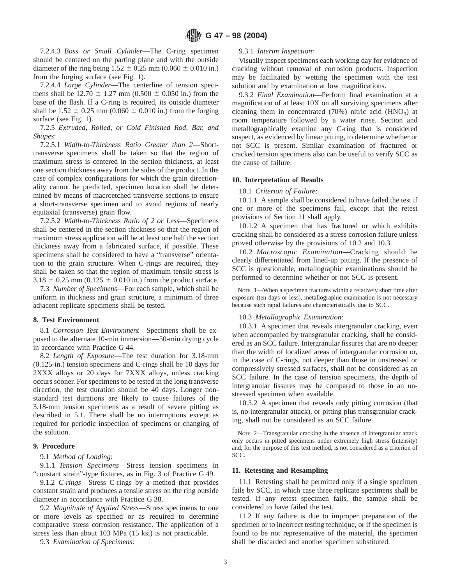7.2.4.3 *Boss or Small Cylinder*—The C-ring specimen should be centered on the parting plane and with the outside diameter of the ring being  $1.52 \pm 0.25$  mm (0.060  $\pm$  0.010 in.) from the forging surface (see Fig. 1).

7.2.4.4 *Large Cylinder*—The centerline of tension specimens shall be 12.70  $\pm$  1.27 mm (0.500  $\pm$  0.050 in.) from the base of the flash. If a C-ring is required, its outside diameter shall be  $1.52 \pm 0.25$  mm (0.060  $\pm$  0.010 in.) from the forging surface (see Fig. 1).

7.2.5 *Extruded, Rolled, or Cold Finished Rod, Bar, and Shapes*:

7.2.5.1 *Width-to-Thickness Ratio Greater than 2*—Shorttransverse specimens shall be taken so that the region of maximum stress is centered in the section thickness, at least one section thickness away from the sides of the product. In the case of complex configurations for which the grain directionality cannot be predicted, specimen location shall be determined by means of macroetched transverse sections to ensure a short-transverse specimen and to avoid regions of nearly equiaxial (transverse) grain flow.

7.2.5.2 *Width-to-Thickness Ratio of 2 or Less*—Specimens shall be centered in the section thickness so that the region of maximum stress application will be at least one half the section thickness away from a fabricated surface, if possible. These specimens shall be considered to have a "transverse" orientation to the grain structure. When C-rings are required, they shall be taken so that the region of maximum tensile stress is  $3.18 \pm 0.25$  mm (0.125  $\pm$  0.010 in.) from the product surface.

7.3 *Number of Specimens*—For each sample, which shall be uniform in thickness and grain structure, a minimum of three adjacent replicate specimens shall be tested.

#### **8. Test Environment**

8.1 *Corrosion Test Environment*—Specimens shall be exposed to the alternate 10-min immersion—50-min drying cycle in accordance with Practice G 44.

8.2 *Length of Exposure*—The test duration for 3.18-mm (0.125-in.) tension specimens and C-rings shall be 10 days for 2XXX alloys or 20 days for 7XXX alloys, unless cracking occurs sooner. For specimens to be tested in the long transverse direction, the test duration should be 40 days. Longer nonstandard test durations are likely to cause failures of the 3.18-mm tension specimens as a result of severe pitting as described in 5.1. There shall be no interruptions except as required for periodic inspection of specimens or changing of the solution.

## **9. Procedure**

## 9.1 *Method of Loading*:

9.1.1 *Tension Specimens*—Stress tension specimens in "constant strain"-type fixtures, as in Fig. 3 of Practice G 49.

9.1.2 *C-rings*—Stress C-rings by a method that provides constant strain and produces a tensile stress on the ring outside diameter in accordance with Practice G 38.

9.2 *Magnitude of Applied Stress*—Stress specimens to one or more levels as specified or as required to determine comparative stress corrosion resistance. The application of a stress less than about 103 MPa (15 ksi) is not practicable.

9.3 *Examination of Specimens*:

#### 9.3.1 *Interim Inspection*:

Visually inspect specimens each working day for evidence of cracking without removal of corrosion products. Inspection may be facilitated by wetting the specimen with the test solution and by examination at low magnifications.

9.3.2 *Final Examination*—Perform final examination at a magnification of at least 10X on all surviving specimens after cleaning them in concentrated  $(70%)$  nitric acid  $(HNO<sub>3</sub>)$  at room temperature followed by a water rinse. Section and metallographically examine any C-ring that is considered suspect, as evidenced by linear pitting, to determine whether or not SCC is present. Similar examination of fractured or cracked tension specimens also can be useful to verify SCC as the cause of failure.

#### **10. Interpretation of Results**

#### 10.1 *Criterion of Failure*:

10.1.1 A sample shall be considered to have failed the test if one or more of the specimens fail, except that the retest provisions of Section 11 shall apply.

10.1.2 A specimen that has fractured or which exhibits cracking shall be considered as a stress corrosion failure unless proved otherwise by the provisions of 10.2 and 10.3.

10.2 *Macroscopic Examination*—Cracking should be clearly differentiated from lined-up pitting. If the presence of SCC is questionable, metallographic examinations should be performed to determine whether or not SCC is present.

NOTE 1—When a specimen fractures within a relatively short time after exposure (ten days or less), metallographic examination is not necessary because such rapid failures are characteristically due to SCC.

#### 10.3 *Metallographic Examination*:

10.3.1 A specimen that reveals intergranular cracking, even when accompanied by transgranular cracking, shall be considered as an SCC failure. Intergranular fissures that are no deeper than the width of localized areas of intergranular corrosion or, in the case of C-rings, not deeper than those in unstressed or compressively stressed surfaces, shall not be considered as an SCC failure. In the case of tension specimens, the depth of intergranular fissures may be compared to those in an unstressed specimen when available.

10.3.2 A specimen that reveals only pitting corrosion (that is, no intergranular attack), or pitting plus transgranular cracking, shall not be considered as an SCC failure.

NOTE 2—Transgranular cracking in the absence of intergranular attack only occurs in pitted specimens under extremely high stress (intensity) and, for the purpose of this text method, is not considered as a criterion of SCC.

#### **11. Retesting and Resampling**

11.1 Retesting shall be permitted only if a single specimen fails by SCC, in which case three replicate specimens shall be tested. If any retest specimen fails, the sample shall be considered to have failed the test.

11.2 If any failure is due to improper preparation of the specimen or to incorrect testing technique, or if the specimen is found to be not representative of the material, the specimen shall be discarded and another specimen substituted.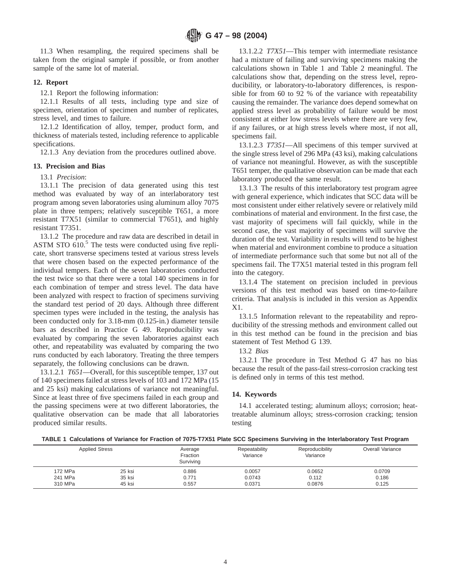11.3 When resampling, the required specimens shall be taken from the original sample if possible, or from another sample of the same lot of material.

#### **12. Report**

12.1 Report the following information:

12.1.1 Results of all tests, including type and size of specimen, orientation of specimen and number of replicates, stress level, and times to failure.

12.1.2 Identification of alloy, temper, product form, and thickness of materials tested, including reference to applicable specifications.

12.1.3 Any deviation from the procedures outlined above.

#### **13. Precision and Bias**

13.1 *Precision*:

13.1.1 The precision of data generated using this test method was evaluated by way of an interlaboratory test program among seven laboratories using aluminum alloy 7075 plate in three tempers; relatively susceptible T651, a more resistant T7X51 (similar to commercial T7651), and highly resistant T7351.

13.1.2 The procedure and raw data are described in detail in ASTM STO  $610<sup>5</sup>$ . The tests were conducted using five replicate, short transverse specimens tested at various stress levels that were chosen based on the expected performance of the individual tempers. Each of the seven laboratories conducted the test twice so that there were a total 140 specimens in for each combination of temper and stress level. The data have been analyzed with respect to fraction of specimens surviving the standard test period of 20 days. Although three different specimen types were included in the testing, the analysis has been conducted only for 3.18-mm (0.125-in.) diameter tensile bars as described in Practice G 49. Reproducibility was evaluated by comparing the seven laboratories against each other, and repeatability was evaluated by comparing the two runs conducted by each laboratory. Treating the three tempers separately, the following conclusions can be drawn.

13.1.2.1 *T651*—Overall, for this susceptible temper, 137 out of 140 specimens failed at stress levels of 103 and 172 MPa (15 and 25 ksi) making calculations of variance not meaningful. Since at least three of five specimens failed in each group and the passing specimens were at two different laboratories, the qualitative observation can be made that all laboratories produced similar results.

13.1.2.2 *T7X51*—This temper with intermediate resistance had a mixture of failing and surviving specimens making the calculations shown in Table 1 and Table 2 meaningful. The calculations show that, depending on the stress level, reproducibility, or laboratory-to-laboratory differences, is responsible for from 60 to 92 % of the variance with repeatability causing the remainder. The variance does depend somewhat on applied stress level as probability of failure would be most consistent at either low stress levels where there are very few, if any failures, or at high stress levels where most, if not all, specimens fail.

13.1.2.3 *T7351*—All specimens of this temper survived at the single stress level of 296 MPa (43 ksi), making calculations of variance not meaningful. However, as with the susceptible T651 temper, the qualitative observation can be made that each laboratory produced the same result.

13.1.3 The results of this interlaboratory test program agree with general experience, which indicates that SCC data will be most consistent under either relatively severe or relatively mild combinations of material and environment. In the first case, the vast majority of specimens will fail quickly, while in the second case, the vast majority of specimens will survive the duration of the test. Variability in results will tend to be highest when material and environment combine to produce a situation of intermediate performance such that some but not all of the specimens fail. The T7X51 material tested in this program fell into the category.

13.1.4 The statement on precision included in previous versions of this test method was based on time-to-failure criteria. That analysis is included in this version as Appendix X1.

13.1.5 Information relevant to the repeatability and reproducibility of the stressing methods and environment called out in this test method can be found in the precision and bias statement of Test Method G 139.

13.2 *Bias*

13.2.1 The procedure in Test Method G 47 has no bias because the result of the pass-fail stress-corrosion cracking test is defined only in terms of this test method.

## **14. Keywords**

14.1 accelerated testing; aluminum alloys; corrosion; heattreatable aluminum alloys; stress-corrosion cracking; tension testing

**TABLE 1 Calculations of Variance for Fraction of 7075-T7X51 Plate SCC Specimens Surviving in the Interlaboratory Test Program**

| <b>Applied Stress</b> |        | Average<br>Fraction<br>Surviving | Repeatability<br>Variance | Reproducibility<br>Variance | Overall Variance |
|-----------------------|--------|----------------------------------|---------------------------|-----------------------------|------------------|
| 172 MPa               | 25 ksi | 0.886                            | 0.0057                    | 0.0652                      | 0.0709           |
| 241 MPa               | 35 ksi | 0.771                            | 0.0743                    | 0.112                       | 0.186            |
| 310 MPa               | 45 ksi | 0.557                            | 0.0371                    | 0.0876                      | 0.125            |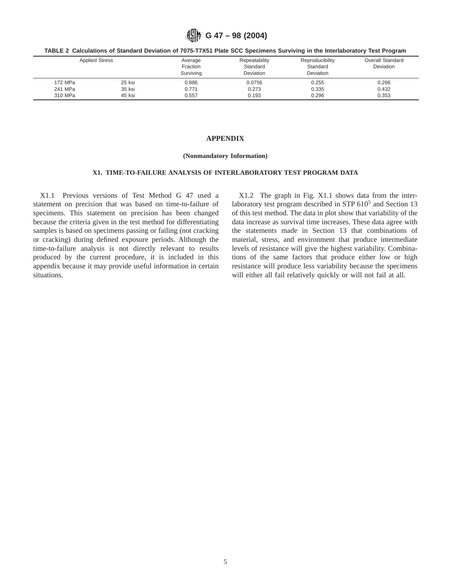**G 47 – 98 (2004)**

| TABLE 2 Calculations of Standard Deviation of 7075-T7X51 Plate SCC Specimens Surviving in the Interlaboratory Test Program |  |  |  |  |
|----------------------------------------------------------------------------------------------------------------------------|--|--|--|--|
|----------------------------------------------------------------------------------------------------------------------------|--|--|--|--|

| <b>Applied Stress</b> |        | Average<br>Fraction<br>Surviving | Repeatability<br>Standard<br><b>Deviation</b> | Reproducibility<br>Standard<br>Deviation | Overall Standard<br>Deviation |
|-----------------------|--------|----------------------------------|-----------------------------------------------|------------------------------------------|-------------------------------|
| 172 MPa               | 25 ksi | 0.886                            | 0.0756                                        | 0.255                                    | 0.266                         |
| 241 MPa               | 35 ksi | 0.771                            | 0.273                                         | 0.335                                    | 0.432                         |
| 310 MPa               | 45 ksi | 0.557                            | 0.193                                         | 0.296                                    | 0.353                         |

## **APPENDIX**

#### **(Nonmandatory Information)**

## **X1. TIME-TO-FAILURE ANALYSIS OF INTERLABORATORY TEST PROGRAM DATA**

X1.1 Previous versions of Test Method G 47 used a statement on precision that was based on time-to-failure of specimens. This statement on precision has been changed because the criteria given in the test method for differentiating samples is based on specimens passing or failing (not cracking or cracking) during defined exposure periods. Although the time-to-failure analysis is not directly relevant to results produced by the current procedure, it is included in this appendix because it may provide useful information in certain situations.

X1.2 The graph in Fig. X1.1 shows data from the interlaboratory test program described in STP  $610<sup>5</sup>$  and Section 13 of this test method. The data in plot show that variability of the data increase as survival time increases. These data agree with the statements made in Section 13 that combinations of material, stress, and environment that produce intermediate levels of resistance will give the highest variability. Combinations of the same factors that produce either low or high resistance will produce less variability because the specimens will either all fail relatively quickly or will not fail at all.